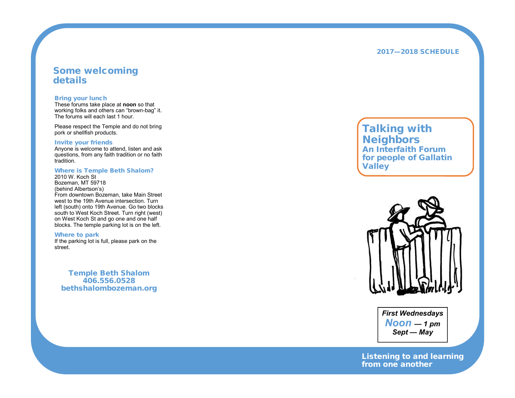### **2 017 —20 1 8 S CHE D U LE**

## **Some welcoming details**

#### **Bring you r lunch**

These forums take place at **noon** so that working folks and others can "brown-bag" it. The forums will each last 1 hour.

Please respect the Temple and do not bring pork or shellfish products.

#### **Invite your friends**

Anyone is welcome to attend, listen and ask que stion s, fr o m any f ait h traditi o n or no f aith tradition.

#### **Where is Temple Beth Shalom?**

20 1 0 W. Ko c h St Boze man, M T 5 9 718 (behind Alb ertson 's) From downtown Bozeman, take Main Street west to the 19th Avenue intersection. Tu left (south) onto 19th Avenue. Go two blocks south to West Koch Street. Turn right (west) on West Koch St and go one and one half blocks. The temple parking lot is on the left.

#### **Whe re to park**

If the parking lot is full, please park on the street.

**Te m ple B e t h Shalom 406.556.0528 be thshalo mbo z e man.org**

# **T alki ng with Nei ghb ors** *An In t e r f ait h Fo rum* for people of Gallatin *Valley*



*Firs t Wednes days N oon — 1 pm S ept — May*

Listening to and learning *f rom one ano t her*